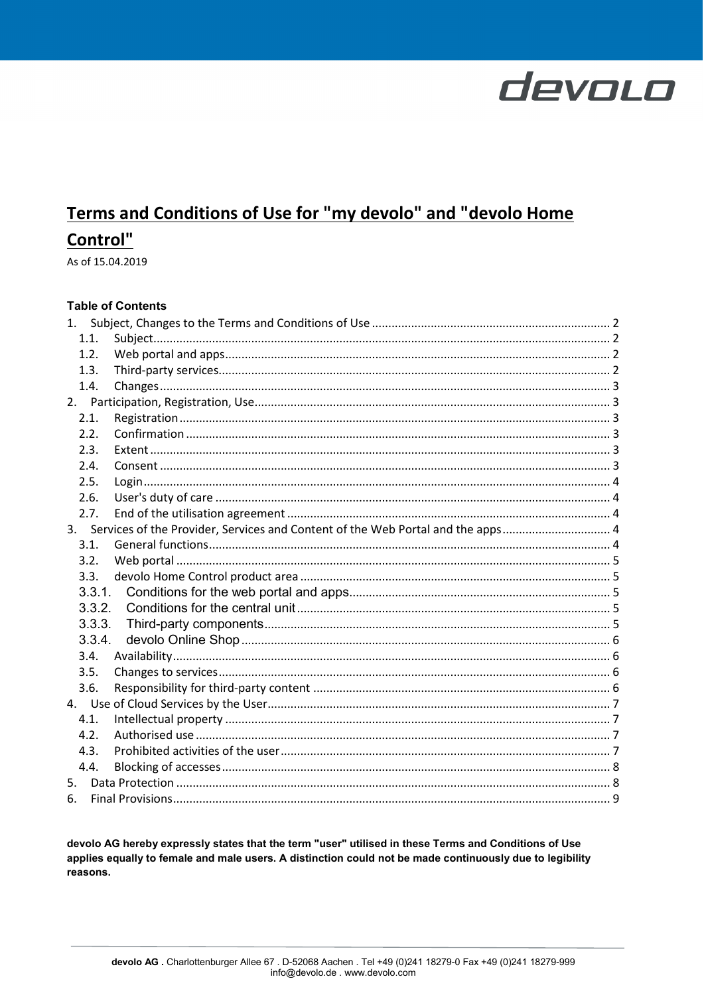# Terms and Conditions of Use for "my devolo" and "devolo Home **Control"**

As of 15.04.2019

# **Table of Contents**

|    | 1.1.   |                                                                                    |  |
|----|--------|------------------------------------------------------------------------------------|--|
|    | 1.2.   |                                                                                    |  |
|    | 1.3.   |                                                                                    |  |
|    | 1.4.   |                                                                                    |  |
|    |        |                                                                                    |  |
|    | 2.1.   |                                                                                    |  |
|    | 2.2.   |                                                                                    |  |
|    | 2.3.   |                                                                                    |  |
|    | 2.4.   |                                                                                    |  |
|    | 2.5.   |                                                                                    |  |
|    | 2.6.   |                                                                                    |  |
|    | 2.7.   |                                                                                    |  |
|    |        | 3. Services of the Provider, Services and Content of the Web Portal and the apps 4 |  |
|    | 3.1.   |                                                                                    |  |
|    | 3.2.   |                                                                                    |  |
|    | 3.3.   |                                                                                    |  |
|    | 3.3.1. |                                                                                    |  |
|    | 3.3.2. |                                                                                    |  |
|    | 3.3.3. |                                                                                    |  |
|    | 3.3.4. |                                                                                    |  |
|    | 3.4.   |                                                                                    |  |
|    | 3.5.   |                                                                                    |  |
|    | 3.6.   |                                                                                    |  |
|    |        |                                                                                    |  |
|    | 4.1.   |                                                                                    |  |
|    | 4.2.   |                                                                                    |  |
|    | 4.3.   |                                                                                    |  |
|    | 4.4.   |                                                                                    |  |
| 5. |        |                                                                                    |  |
| 6. |        |                                                                                    |  |

devolo AG hereby expressly states that the term "user" utilised in these Terms and Conditions of Use applies equally to female and male users. A distinction could not be made continuously due to legibility reasons.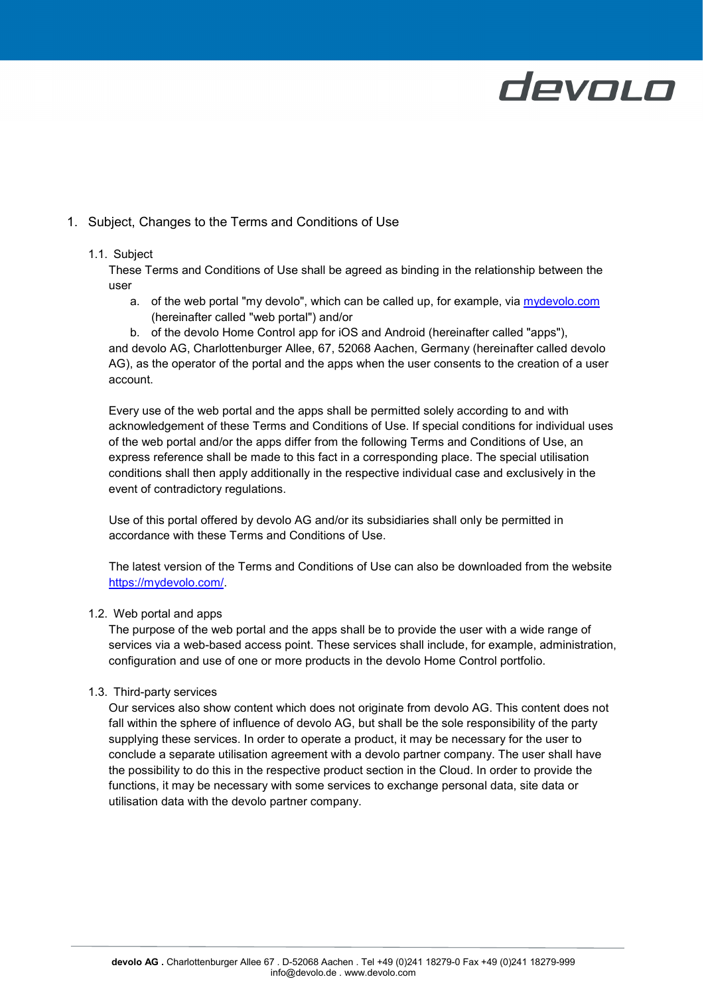

# <span id="page-1-0"></span>1. Subject, Changes to the Terms and Conditions of Use

### <span id="page-1-1"></span>1.1. Subject

These Terms and Conditions of Use shall be agreed as binding in the relationship between the user

a. of the web portal "my devolo", which can be called up, for example, via [mydevolo.com](https://mydevolo.com/) (hereinafter called "web portal") and/or

b. of the devolo Home Control app for iOS and Android (hereinafter called "apps"), and devolo AG, Charlottenburger Allee, 67, 52068 Aachen, Germany (hereinafter called devolo AG), as the operator of the portal and the apps when the user consents to the creation of a user account.

Every use of the web portal and the apps shall be permitted solely according to and with acknowledgement of these Terms and Conditions of Use. If special conditions for individual uses of the web portal and/or the apps differ from the following Terms and Conditions of Use, an express reference shall be made to this fact in a corresponding place. The special utilisation conditions shall then apply additionally in the respective individual case and exclusively in the event of contradictory regulations.

Use of this portal offered by devolo AG and/or its subsidiaries shall only be permitted in accordance with these Terms and Conditions of Use.

The latest version of the Terms and Conditions of Use can also be downloaded from the website [https://mydevolo.com/.](https://www.devolo.com/nb-md)

### <span id="page-1-2"></span>1.2. Web portal and apps

The purpose of the web portal and the apps shall be to provide the user with a wide range of services via a web-based access point. These services shall include, for example, administration, configuration and use of one or more products in the devolo Home Control portfolio.

### <span id="page-1-3"></span>1.3. Third-party services

Our services also show content which does not originate from devolo AG. This content does not fall within the sphere of influence of devolo AG, but shall be the sole responsibility of the party supplying these services. In order to operate a product, it may be necessary for the user to conclude a separate utilisation agreement with a devolo partner company. The user shall have the possibility to do this in the respective product section in the Cloud. In order to provide the functions, it may be necessary with some services to exchange personal data, site data or utilisation data with the devolo partner company.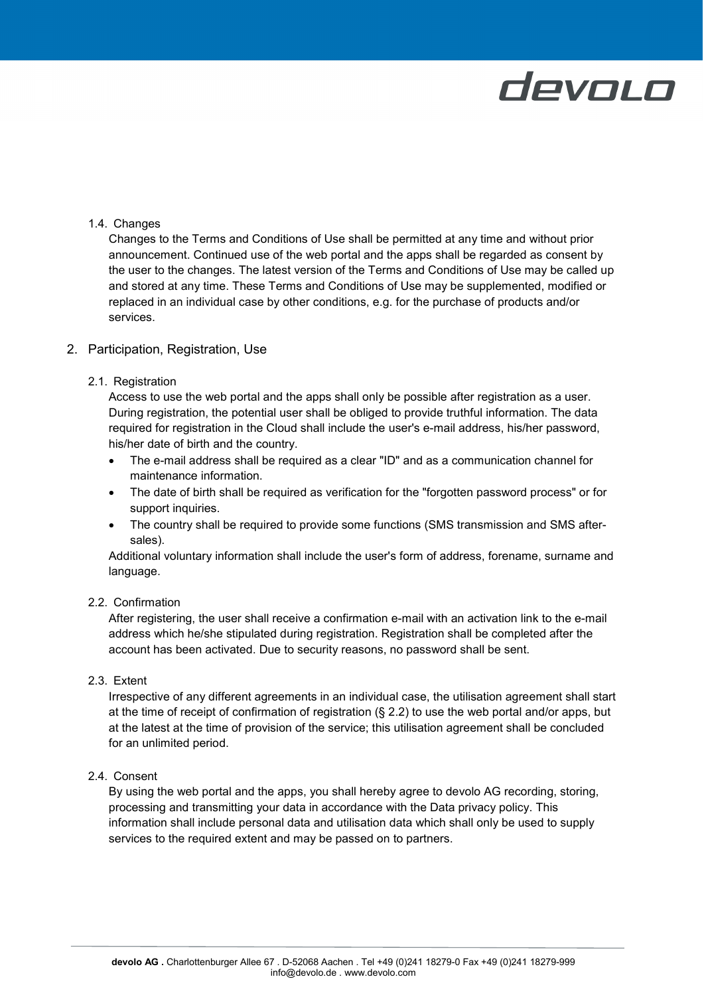## <span id="page-2-0"></span>1.4. Changes

Changes to the Terms and Conditions of Use shall be permitted at any time and without prior announcement. Continued use of the web portal and the apps shall be regarded as consent by the user to the changes. The latest version of the Terms and Conditions of Use may be called up and stored at any time. These Terms and Conditions of Use may be supplemented, modified or replaced in an individual case by other conditions, e.g. for the purchase of products and/or services.

### <span id="page-2-1"></span>2. Participation, Registration, Use

### <span id="page-2-2"></span>2.1. Registration

Access to use the web portal and the apps shall only be possible after registration as a user. During registration, the potential user shall be obliged to provide truthful information. The data required for registration in the Cloud shall include the user's e-mail address, his/her password, his/her date of birth and the country.

- The e-mail address shall be required as a clear "ID" and as a communication channel for maintenance information.
- The date of birth shall be required as verification for the "forgotten password process" or for support inquiries.
- The country shall be required to provide some functions (SMS transmission and SMS aftersales).

Additional voluntary information shall include the user's form of address, forename, surname and language.

# <span id="page-2-3"></span>2.2. Confirmation

After registering, the user shall receive a confirmation e-mail with an activation link to the e-mail address which he/she stipulated during registration. Registration shall be completed after the account has been activated. Due to security reasons, no password shall be sent.

### <span id="page-2-4"></span>2.3. Extent

Irrespective of any different agreements in an individual case, the utilisation agreement shall start at the time of receipt of confirmation of registration (§ 2.2) to use the web portal and/or apps, but at the latest at the time of provision of the service; this utilisation agreement shall be concluded for an unlimited period.

# <span id="page-2-5"></span>2.4. Consent

By using the web portal and the apps, you shall hereby agree to devolo AG recording, storing, processing and transmitting your data in accordance with the Data privacy policy. This information shall include personal data and utilisation data which shall only be used to supply services to the required extent and may be passed on to partners.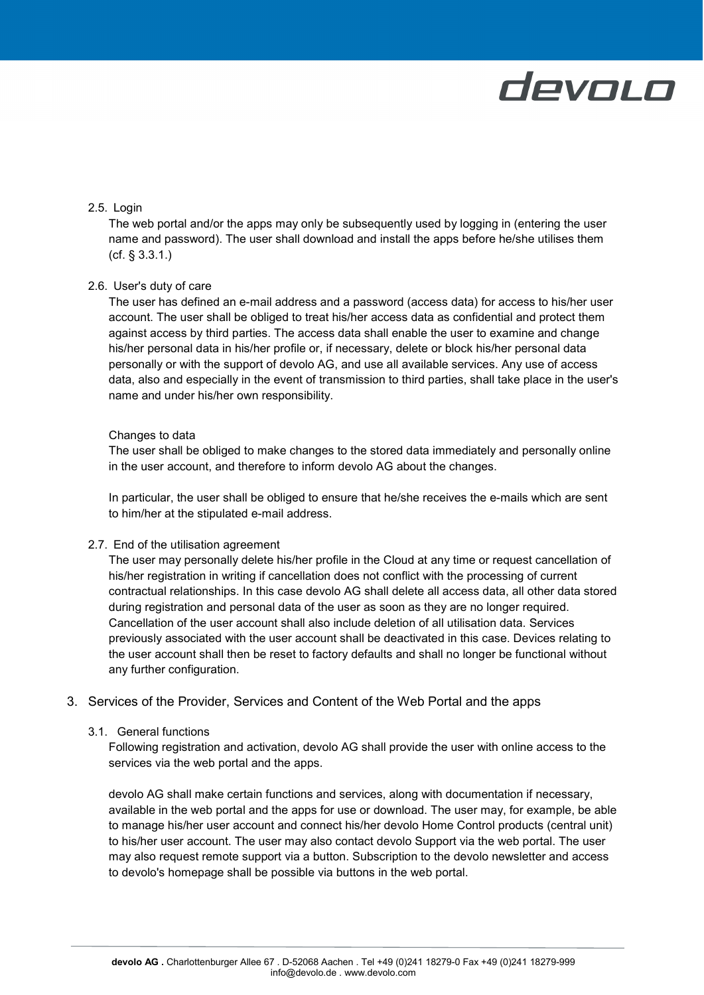

### <span id="page-3-0"></span>2.5. Login

The web portal and/or the apps may only be subsequently used by logging in (entering the user name and password). The user shall download and install the apps before he/she utilises them (cf. § 3.3.1.)

#### <span id="page-3-1"></span>2.6. User's duty of care

The user has defined an e-mail address and a password (access data) for access to his/her user account. The user shall be obliged to treat his/her access data as confidential and protect them against access by third parties. The access data shall enable the user to examine and change his/her personal data in his/her profile or, if necessary, delete or block his/her personal data personally or with the support of devolo AG, and use all available services. Any use of access data, also and especially in the event of transmission to third parties, shall take place in the user's name and under his/her own responsibility.

#### Changes to data

The user shall be obliged to make changes to the stored data immediately and personally online in the user account, and therefore to inform devolo AG about the changes.

In particular, the user shall be obliged to ensure that he/she receives the e-mails which are sent to him/her at the stipulated e-mail address.

#### <span id="page-3-2"></span>2.7. End of the utilisation agreement

The user may personally delete his/her profile in the Cloud at any time or request cancellation of his/her registration in writing if cancellation does not conflict with the processing of current contractual relationships. In this case devolo AG shall delete all access data, all other data stored during registration and personal data of the user as soon as they are no longer required. Cancellation of the user account shall also include deletion of all utilisation data. Services previously associated with the user account shall be deactivated in this case. Devices relating to the user account shall then be reset to factory defaults and shall no longer be functional without any further configuration.

# <span id="page-3-3"></span>3. Services of the Provider, Services and Content of the Web Portal and the apps

#### 3.1. General functions

<span id="page-3-4"></span>Following registration and activation, devolo AG shall provide the user with online access to the services via the web portal and the apps.

devolo AG shall make certain functions and services, along with documentation if necessary, available in the web portal and the apps for use or download. The user may, for example, be able to manage his/her user account and connect his/her devolo Home Control products (central unit) to his/her user account. The user may also contact devolo Support via the web portal. The user may also request remote support via a button. Subscription to the devolo newsletter and access to devolo's homepage shall be possible via buttons in the web portal.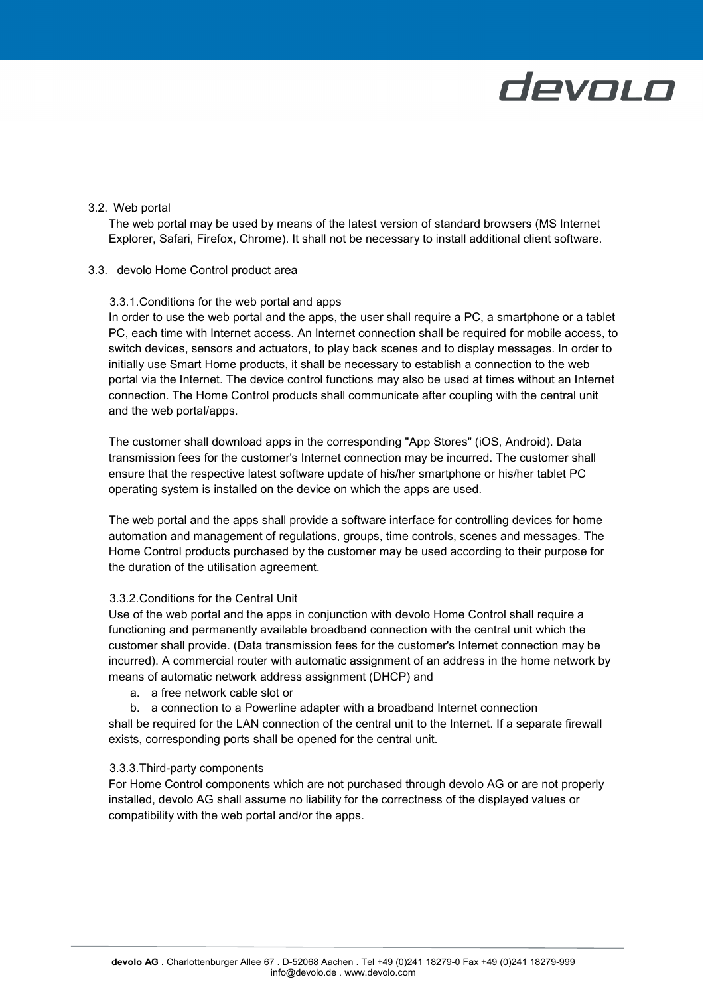## <span id="page-4-0"></span>3.2. Web portal

The web portal may be used by means of the latest version of standard browsers (MS Internet Explorer, Safari, Firefox, Chrome). It shall not be necessary to install additional client software.

#### <span id="page-4-2"></span><span id="page-4-1"></span>3.3. devolo Home Control product area

### 3.3.1.Conditions for the web portal and apps

In order to use the web portal and the apps, the user shall require a PC, a smartphone or a tablet PC, each time with Internet access. An Internet connection shall be required for mobile access, to switch devices, sensors and actuators, to play back scenes and to display messages. In order to initially use Smart Home products, it shall be necessary to establish a connection to the web portal via the Internet. The device control functions may also be used at times without an Internet connection. The Home Control products shall communicate after coupling with the central unit and the web portal/apps.

The customer shall download apps in the corresponding "App Stores" (iOS, Android). Data transmission fees for the customer's Internet connection may be incurred. The customer shall ensure that the respective latest software update of his/her smartphone or his/her tablet PC operating system is installed on the device on which the apps are used.

The web portal and the apps shall provide a software interface for controlling devices for home automation and management of regulations, groups, time controls, scenes and messages. The Home Control products purchased by the customer may be used according to their purpose for the duration of the utilisation agreement.

### <span id="page-4-3"></span>3.3.2.Conditions for the Central Unit

Use of the web portal and the apps in conjunction with devolo Home Control shall require a functioning and permanently available broadband connection with the central unit which the customer shall provide. (Data transmission fees for the customer's Internet connection may be incurred). A commercial router with automatic assignment of an address in the home network by means of automatic network address assignment (DHCP) and

- a. a free network cable slot or
- b. a connection to a Powerline adapter with a broadband Internet connection shall be required for the LAN connection of the central unit to the Internet. If a separate firewall exists, corresponding ports shall be opened for the central unit.

### <span id="page-4-4"></span>3.3.3.Third-party components

For Home Control components which are not purchased through devolo AG or are not properly installed, devolo AG shall assume no liability for the correctness of the displayed values or compatibility with the web portal and/or the apps.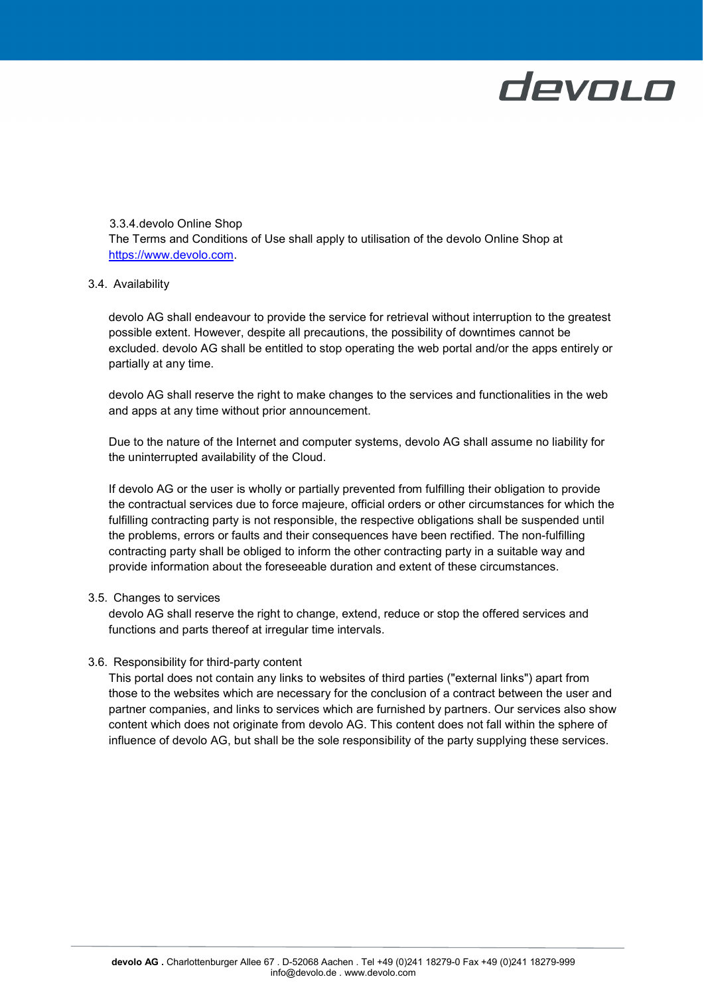

<span id="page-5-0"></span>3.3.4.devolo Online Shop The Terms and Conditions of Use shall apply to utilisation of the devolo Online Shop at [https://www.devolo.com.](https://www.devolo.com/)

### <span id="page-5-1"></span>3.4. Availability

devolo AG shall endeavour to provide the service for retrieval without interruption to the greatest possible extent. However, despite all precautions, the possibility of downtimes cannot be excluded. devolo AG shall be entitled to stop operating the web portal and/or the apps entirely or partially at any time.

devolo AG shall reserve the right to make changes to the services and functionalities in the web and apps at any time without prior announcement.

Due to the nature of the Internet and computer systems, devolo AG shall assume no liability for the uninterrupted availability of the Cloud.

If devolo AG or the user is wholly or partially prevented from fulfilling their obligation to provide the contractual services due to force majeure, official orders or other circumstances for which the fulfilling contracting party is not responsible, the respective obligations shall be suspended until the problems, errors or faults and their consequences have been rectified. The non-fulfilling contracting party shall be obliged to inform the other contracting party in a suitable way and provide information about the foreseeable duration and extent of these circumstances.

### <span id="page-5-2"></span>3.5. Changes to services

devolo AG shall reserve the right to change, extend, reduce or stop the offered services and functions and parts thereof at irregular time intervals.

### <span id="page-5-3"></span>3.6. Responsibility for third-party content

This portal does not contain any links to websites of third parties ("external links") apart from those to the websites which are necessary for the conclusion of a contract between the user and partner companies, and links to services which are furnished by partners. Our services also show content which does not originate from devolo AG. This content does not fall within the sphere of influence of devolo AG, but shall be the sole responsibility of the party supplying these services.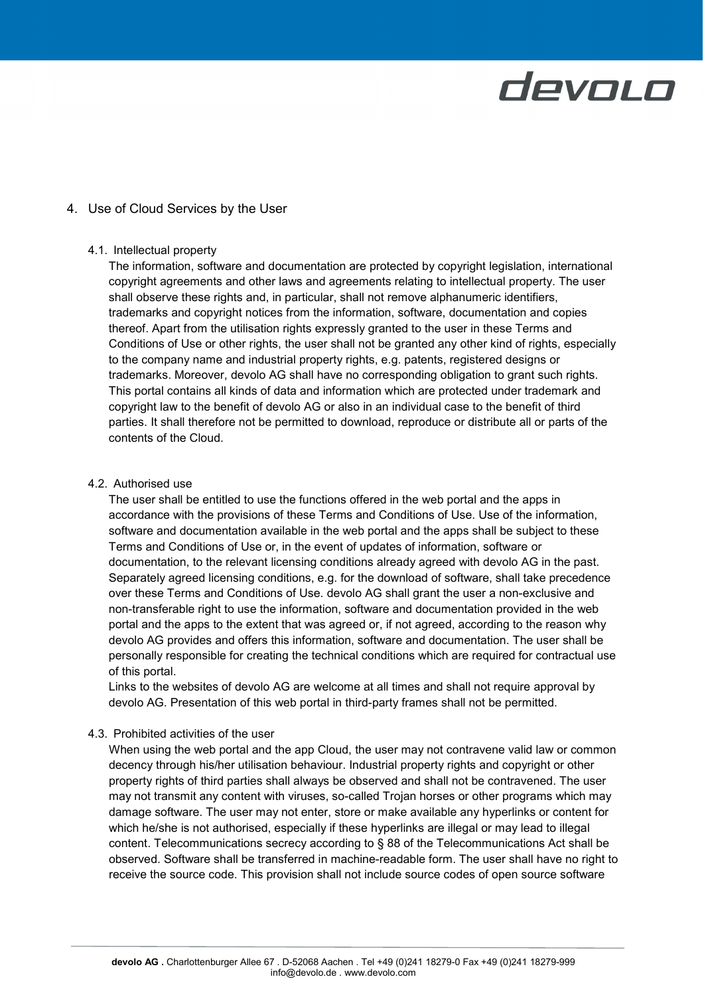# <span id="page-6-0"></span>4. Use of Cloud Services by the User

### <span id="page-6-1"></span>4.1. Intellectual property

The information, software and documentation are protected by copyright legislation, international copyright agreements and other laws and agreements relating to intellectual property. The user shall observe these rights and, in particular, shall not remove alphanumeric identifiers, trademarks and copyright notices from the information, software, documentation and copies thereof. Apart from the utilisation rights expressly granted to the user in these Terms and Conditions of Use or other rights, the user shall not be granted any other kind of rights, especially to the company name and industrial property rights, e.g. patents, registered designs or trademarks. Moreover, devolo AG shall have no corresponding obligation to grant such rights. This portal contains all kinds of data and information which are protected under trademark and copyright law to the benefit of devolo AG or also in an individual case to the benefit of third parties. It shall therefore not be permitted to download, reproduce or distribute all or parts of the contents of the Cloud.

# <span id="page-6-2"></span>4.2. Authorised use

The user shall be entitled to use the functions offered in the web portal and the apps in accordance with the provisions of these Terms and Conditions of Use. Use of the information, software and documentation available in the web portal and the apps shall be subject to these Terms and Conditions of Use or, in the event of updates of information, software or documentation, to the relevant licensing conditions already agreed with devolo AG in the past. Separately agreed licensing conditions, e.g. for the download of software, shall take precedence over these Terms and Conditions of Use. devolo AG shall grant the user a non-exclusive and non-transferable right to use the information, software and documentation provided in the web portal and the apps to the extent that was agreed or, if not agreed, according to the reason why devolo AG provides and offers this information, software and documentation. The user shall be personally responsible for creating the technical conditions which are required for contractual use of this portal.

Links to the websites of devolo AG are welcome at all times and shall not require approval by devolo AG. Presentation of this web portal in third-party frames shall not be permitted.

### <span id="page-6-3"></span>4.3. Prohibited activities of the user

When using the web portal and the app Cloud, the user may not contravene valid law or common decency through his/her utilisation behaviour. Industrial property rights and copyright or other property rights of third parties shall always be observed and shall not be contravened. The user may not transmit any content with viruses, so-called Trojan horses or other programs which may damage software. The user may not enter, store or make available any hyperlinks or content for which he/she is not authorised, especially if these hyperlinks are illegal or may lead to illegal content. Telecommunications secrecy according to § 88 of the Telecommunications Act shall be observed. Software shall be transferred in machine-readable form. The user shall have no right to receive the source code. This provision shall not include source codes of open source software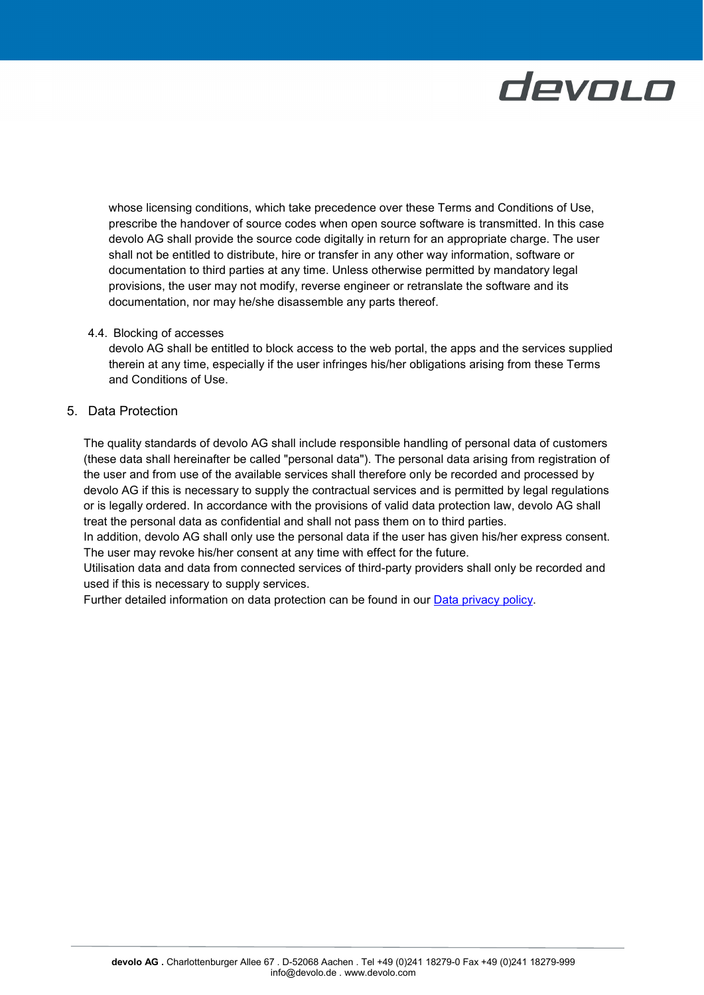whose licensing conditions, which take precedence over these Terms and Conditions of Use, prescribe the handover of source codes when open source software is transmitted. In this case devolo AG shall provide the source code digitally in return for an appropriate charge. The user shall not be entitled to distribute, hire or transfer in any other way information, software or documentation to third parties at any time. Unless otherwise permitted by mandatory legal provisions, the user may not modify, reverse engineer or retranslate the software and its documentation, nor may he/she disassemble any parts thereof.

### <span id="page-7-0"></span>4.4. Blocking of accesses

devolo AG shall be entitled to block access to the web portal, the apps and the services supplied therein at any time, especially if the user infringes his/her obligations arising from these Terms and Conditions of Use.

# <span id="page-7-1"></span>5. Data Protection

The quality standards of devolo AG shall include responsible handling of personal data of customers (these data shall hereinafter be called "personal data"). The personal data arising from registration of the user and from use of the available services shall therefore only be recorded and processed by devolo AG if this is necessary to supply the contractual services and is permitted by legal regulations or is legally ordered. In accordance with the provisions of valid data protection law, devolo AG shall treat the personal data as confidential and shall not pass them on to third parties.

In addition, devolo AG shall only use the personal data if the user has given his/her express consent. The user may revoke his/her consent at any time with effect for the future.

Utilisation data and data from connected services of third-party providers shall only be recorded and used if this is necessary to supply services.

Further detailed information on data protection can be found in our [Data privacy policy.](https://www.devolo.com/support/data-privacy.html)